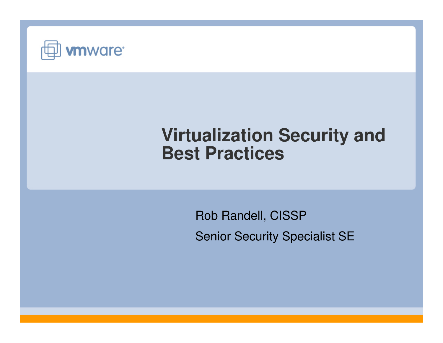

# **Virtualization Security and Best Practices**

Rob Randell, CISSPSenior Security Specialist SE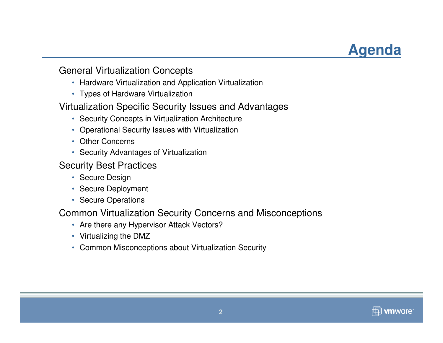# **Agenda**

#### General Virtualization Concepts

- Hardware Virtualization and Application Virtualization
- Types of Hardware Virtualization

#### Virtualization Specific Security Issues and Advantages

- Security Concepts in Virtualization Architecture
- Operational Security Issues with Virtualization
- Other Concerns
- Security Advantages of Virtualization

#### Security Best Practices

- Secure Design
- Secure Deployment
- Secure Operations

#### Common Virtualization Security Concerns and Misconceptions

- Are there any Hypervisor Attack Vectors?
- Virtualizing the DMZ
- Common Misconceptions about Virtualization Security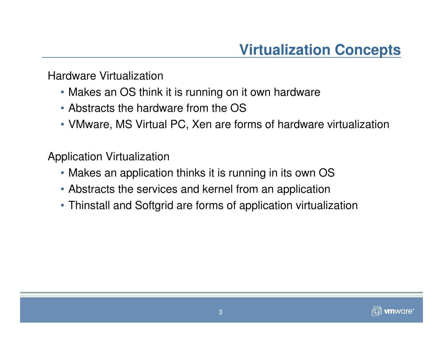Hardware Virtualization

- Makes an OS think it is running on it own hardware
- Abstracts the hardware from the OS
- VMware, MS Virtual PC, Xen are forms of hardware virtualization

Application Virtualization

- Makes an application thinks it is running in its own OS
- Abstracts the services and kernel from an application
- Thinstall and Softgrid are forms of application virtualization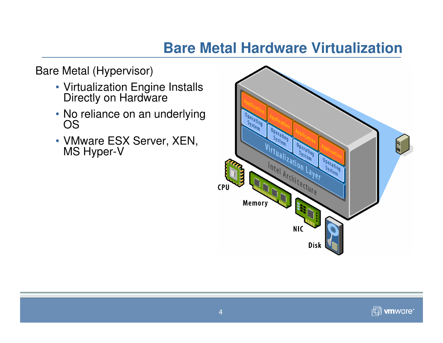# **Bare Metal Hardware Virtualization**

Bare Metal (Hypervisor)

- Virtualization Engine Installs Directly on Hardware
- No reliance on an underlying OS
- VMware ESX Server, XEN, MS Hyper-V

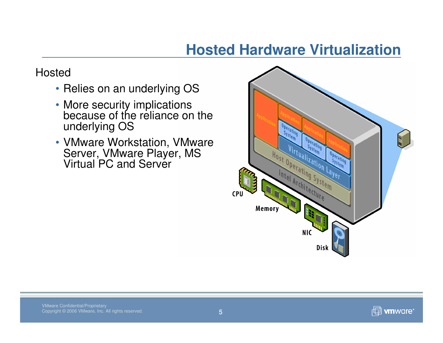## **Hosted Hardware Virtualization**

#### Hosted

- Relies on an underlying OS
- More security implications because of the reliance on the underlying OS
- VMware Workstation, VMware Server, VMware Player, MS Virtual PC and Server

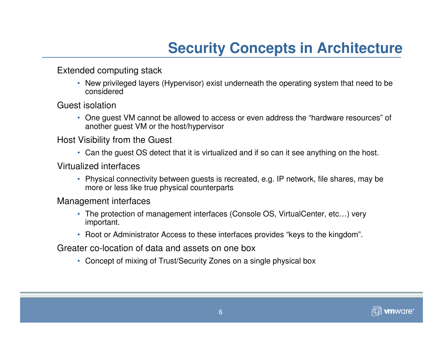# **Security Concepts in Architecture**

Extended computing stack

• New privileged layers (Hypervisor) exist underneath the operating system that need to be considered

Guest isolation

• One guest VM cannot be allowed to access or even address the "hardware resources" of another guest VM or the host/hypervisor

Host Visibility from the Guest

• Can the guest OS detect that it is virtualized and if so can it see anything on the host.

Virtualized interfaces

• Physical connectivity between guests is recreated, e.g. IP network, file shares, may be more or less like true physical counterparts

Management interfaces

- The protection of management interfaces (Console OS, VirtualCenter, etc…) very important.
- Root or Administrator Access to these interfaces provides "keys to the kingdom".

Greater co-location of data and assets on one box

• Concept of mixing of Trust/Security Zones on a single physical box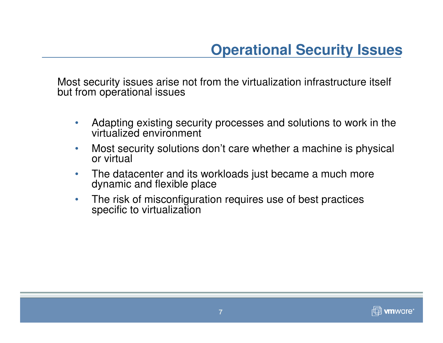Most security issues arise not from the virtualization infrastructure itself but from operational issues

- $\bullet$  Adapting existing security processes and solutions to work in the virtualized environment
- $\bullet$  Most security solutions don't care whether a machine is physical or virtual
- $\bullet$  The datacenter and its workloads just became a much more dynamic and flexible place
- $\bullet$  The risk of misconfiguration requires use of best practices specific to virtualization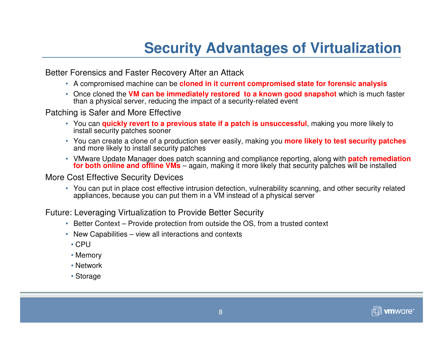# **Security Advantages of Virtualization**

Better Forensics and Faster Recovery After an Attack

- A compromised machine can be **cloned in it current compromised state for forensic analysis**
- Once cloned the **VM can be immediately restored to a known good snapshot** which is much faster than a physical server, reducing the impact of a security-related event

Patching is Safer and More Effective

- You can **quickly revert to a previous state if a patch is unsuccessful**, making you more likely to install security patches sooner
- You can create a clone of a production server easily, making you **more likely to test security patches** and more likely to install security patches
- VMware Update Manager does patch scanning and compliance reporting, along with **patch remediation for both online and offline VMs** – again, making it more likely that security patches will be installed

More Cost Effective Security Devices

 • You can put in place cost effective intrusion detection, vulnerability scanning, and other security related appliances, because you can put them in a VM instead of a physical server

Future: Leveraging Virtualization to Provide Better Security

- Better Context Provide protection from outside the OS, from a trusted context
- New Capabilities view all interactions and contexts
- CPU
- Memory
- Network
- Storage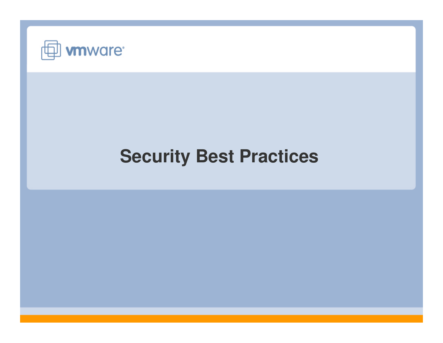

# **Security Best Practices**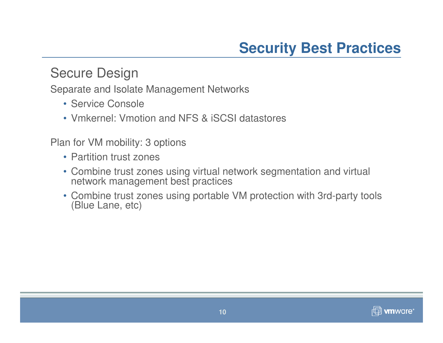### Secure Design

Separate and Isolate Management Networks

- Service Console
- Vmkernel: Vmotion and NFS & iSCSI datastores

Plan for VM mobility: 3 options

- Partition trust zones
- Combine trust zones using virtual network segmentation and virtual network management best practices
- Combine trust zones using portable VM protection with 3rd-party tools (Blue Lane, etc)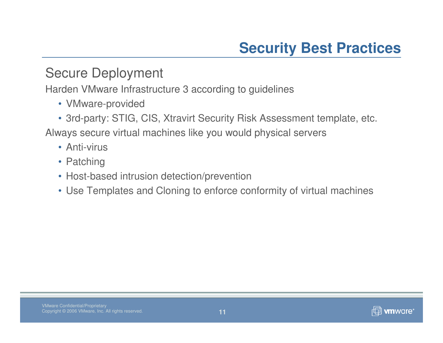### Secure Deployment

Harden VMware Infrastructure 3 according to guidelines

- VMware-provided
- 3rd-party: STIG, CIS, Xtravirt Security Risk Assessment template, etc.

Always secure virtual machines like you would physical servers

- Anti-virus
- Patching
- Host-based intrusion detection/prevention
- Use Templates and Cloning to enforce conformity of virtual machines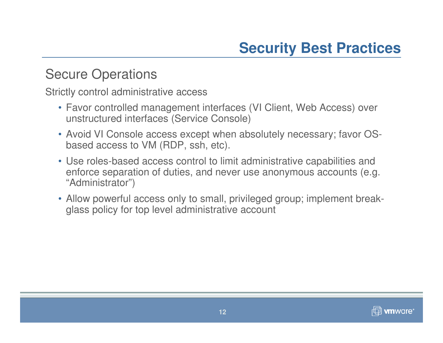## Secure Operations

Strictly control administrative access

- Favor controlled management interfaces (VI Client, Web Access) over unstructured interfaces (Service Console)
- Avoid VI Console access except when absolutely necessary; favor OSbased access to VM (RDP, ssh, etc).
- Use roles-based access control to limit administrative capabilities and enforce separation of duties, and never use anonymous accounts (e.g. "Administrator")
- Allow powerful access only to small, privileged group; implement breakglass policy for top level administrative account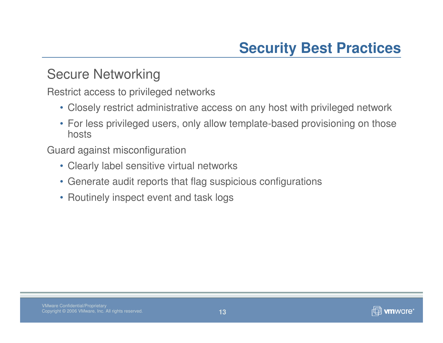### Secure Networking

Restrict access to privileged networks

- Closely restrict administrative access on any host with privileged network
- For less privileged users, only allow template-based provisioning on those hosts

Guard against misconfiguration

- Clearly label sensitive virtual networks
- Generate audit reports that flag suspicious configurations
- Routinely inspect event and task logs

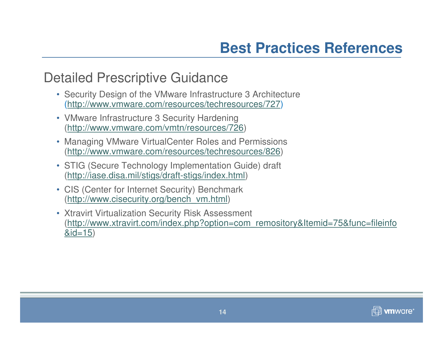### Detailed Prescriptive Guidance

- Security Design of the VMware Infrastructure 3 Architecture(http://www.vmware.com/resources/techresources/727)
- VMware Infrastructure 3 Security Hardening(http://www.vmware.com/vmtn/resources/726)
- Managing VMware VirtualCenter Roles and Permissions(http://www.vmware.com/resources/techresources/826)
- STIG (Secure Technology Implementation Guide) draft (http://iase.disa.mil/stigs/draft-stigs/index.html)
- CIS (Center for Internet Security) Benchmark(http://www.cisecurity.org/bench\_vm.html)
- Xtravirt Virtualization Security Risk Assessment (http://www.xtravirt.com/index.php?option=com\_remository&Itemid=75&func=fileinfo&id=15)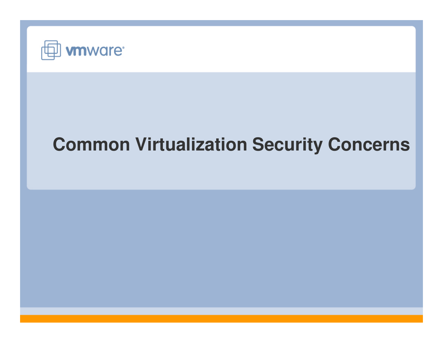

# **Common Virtualization Security Concerns**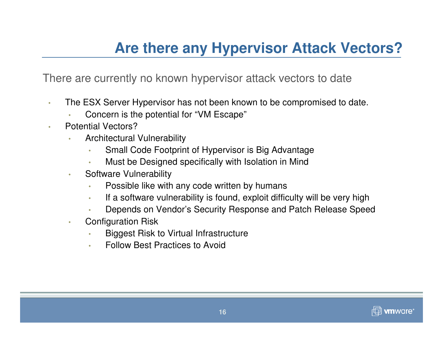# **Are there any Hypervisor Attack Vectors?**

There are currently no known hypervisor attack vectors to date

- • The ESX Server Hypervisor has not been known to be compromised to date.
	- •Concern is the potential for "VM Escape"
- • Potential Vectors?
	- Architectural Vulnerability•
		- **Small Code Footprint of Hypervisor is Big Advantage** •
		- Must be Designed specifically with Isolation in Mind•
	- • Software Vulnerability
		- •Possible like with any code written by humans
		- If a software vulnerability is found, exploit difficulty will be very high•
		- Depends on Vendor's Security Response and Patch Release Speed•
	- • Configuration Risk
		- **Biggest Risk to Virtual Infrastructure** •
		- •Follow Best Practices to Avoid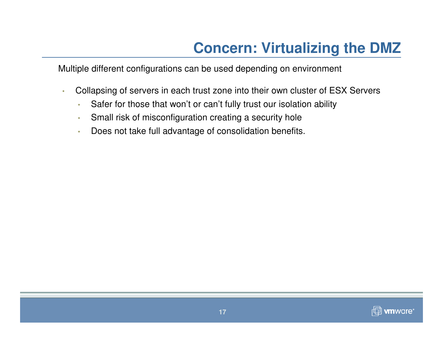# **Concern: Virtualizing the DMZ**

Multiple different configurations can be used depending on environment

- • Collapsing of servers in each trust zone into their own cluster of ESX Servers
	- •Safer for those that won't or can't fully trust our isolation ability
	- •Small risk of misconfiguration creating a security hole
	- Does not take full advantage of consolidation benefits.•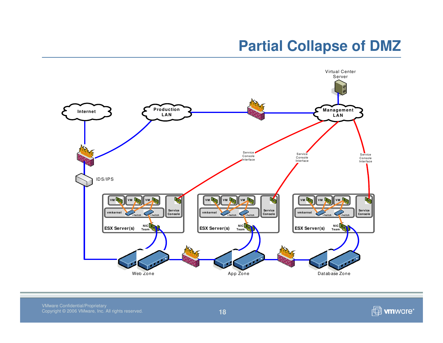# **Partial Collapse of DMZ**



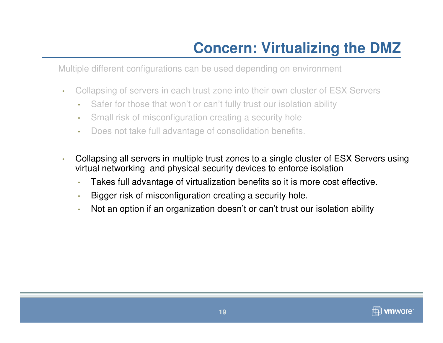# **Concern: Virtualizing the DMZ**

Multiple different configurations can be used depending on environment

- • Collapsing of servers in each trust zone into their own cluster of ESX Servers
	- •Safer for those that won't or can't fully trust our isolation ability
	- •Small risk of misconfiguration creating a security hole
	- •Does not take full advantage of consolidation benefits.
- • Collapsing all servers in multiple trust zones to a single cluster of ESX Servers using virtual networking and physical security devices to enforce isolation
	- •Takes full advantage of virtualization benefits so it is more cost effective.
	- •Bigger risk of misconfiguration creating a security hole.
	- •Not an option if an organization doesn't or can't trust our isolation ability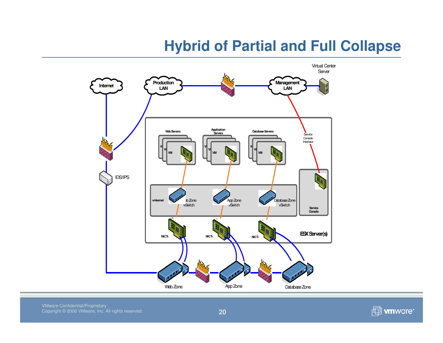# **Hybrid of Partial and Full Collapse**



VMware Confidential/Proprietary Copyright © 2006 VMware, Inc. All rights reserved.

*f* will work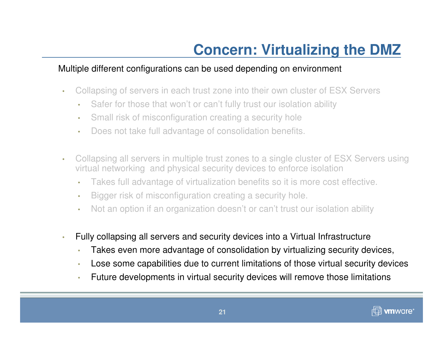#### Multiple different configurations can be used depending on environment

- • Collapsing of servers in each trust zone into their own cluster of ESX Servers
	- •Safer for those that won't or can't fully trust our isolation ability
	- •Small risk of misconfiguration creating a security hole
	- •Does not take full advantage of consolidation benefits.
- • Collapsing all servers in multiple trust zones to a single cluster of ESX Servers using virtual networking and physical security devices to enforce isolation
	- •Takes full advantage of virtualization benefits so it is more cost effective.
	- •Bigger risk of misconfiguration creating a security hole.
	- •Not an option if an organization doesn't or can't trust our isolation ability
- • Fully collapsing all servers and security devices into a Virtual Infrastructure
	- •Takes even more advantage of consolidation by virtualizing security devices,
	- •Lose some capabilities due to current limitations of those virtual security devices
	- •Future developments in virtual security devices will remove those limitations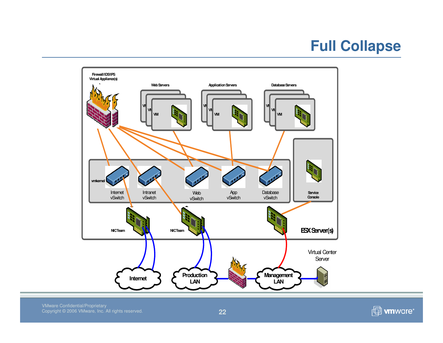# **Full Collapse**

![](_page_21_Figure_1.jpeg)

*f* www ore\*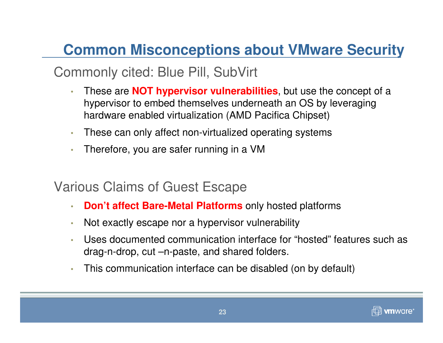# **Common Misconceptions about VMware Security**

# Commonly cited: Blue Pill, SubVirt

- • These are **NOT hypervisor vulnerabilities**, but use the concept of a hypervisor to embed themselves underneath an OS by leveraging hardware enabled virtualization (AMD Pacifica Chipset)
- •These can only affect non-virtualized operating systems
- •Therefore, you are safer running in a VM

## Various Claims of Guest Escape

- •**Don't affect Bare-Metal Platforms** only hosted platforms
- •Not exactly escape nor a hypervisor vulnerability
- • Uses documented communication interface for "hosted" features such as drag-n-drop, cut –n-paste, and shared folders.
- •This communication interface can be disabled (on by default)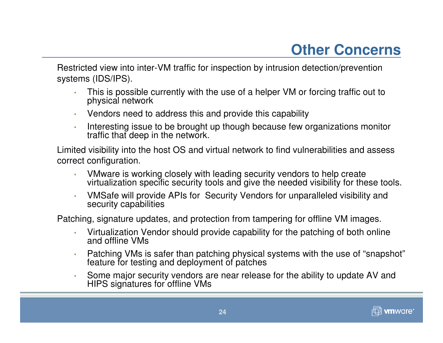# **Other Concerns**

Restricted view into inter-VM traffic for inspection by intrusion detection/prevention systems (IDS/IPS).

- • This is possible currently with the use of a helper VM or forcing traffic out to physical network
- •Vendors need to address this and provide this capability
- • Interesting issue to be brought up though because few organizations monitor traffic that deep in the network.

Limited visibility into the host OS and virtual network to find vulnerabilities and assess correct configuration.

- • VMware is working closely with leading security vendors to help create virtualization specific security tools and give the needed visibility for these tools.
- • VMSafe will provide APIs for Security Vendors for unparalleled visibility and security capabilities

Patching, signature updates, and protection from tampering for offline VM images.

- • Virtualization Vendor should provide capability for the patching of both online and offline VMs
- • Patching VMs is safer than patching physical systems with the use of "snapshot"feature for testing and deployment of patches
- • Some major security vendors are near release for the ability to update AV and HIPS signatures for offline VMs